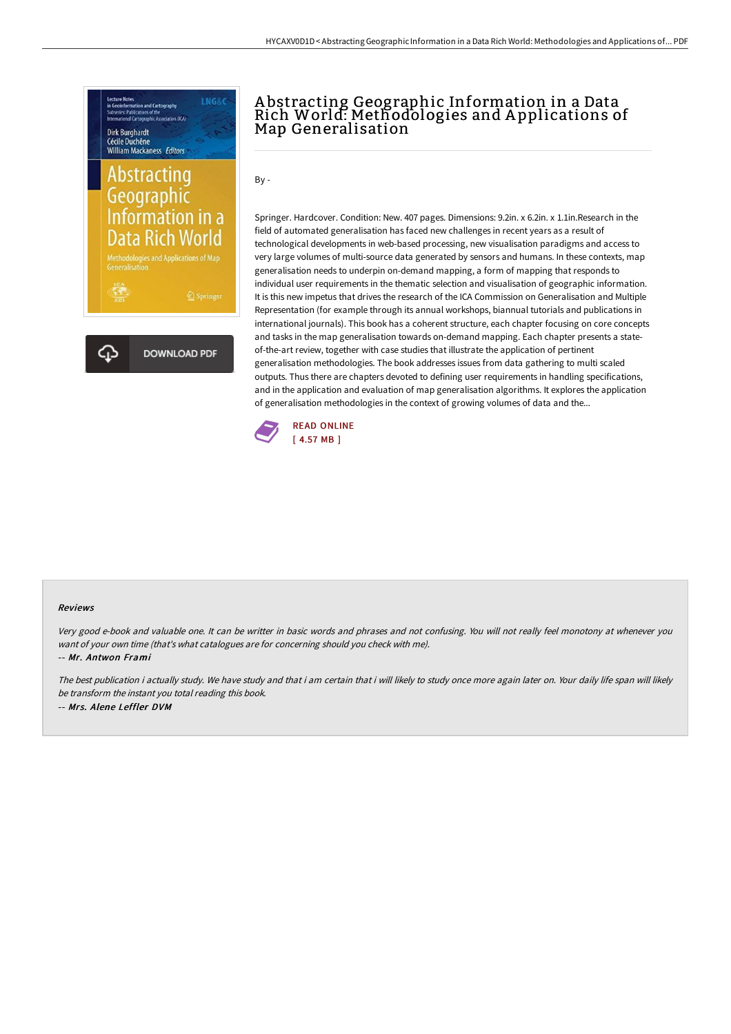

## A bstracting Geographic Information in a Data Rich World: Methodologies and A pplications of Map Generalisation

 $Bv -$ 

Springer. Hardcover. Condition: New. 407 pages. Dimensions: 9.2in. x 6.2in. x 1.1in.Research in the field of automated generalisation has faced new challenges in recent years as a result of technological developments in web-based processing, new visualisation paradigms and access to very large volumes of multi-source data generated by sensors and humans. In these contexts, map generalisation needs to underpin on-demand mapping, a form of mapping that responds to individual user requirements in the thematic selection and visualisation of geographic information. It is this new impetus that drives the research of the ICA Commission on Generalisation and Multiple Representation (for example through its annual workshops, biannual tutorials and publications in international journals). This book has a coherent structure, each chapter focusing on core concepts and tasks in the map generalisation towards on-demand mapping. Each chapter presents a stateof-the-art review, together with case studies that illustrate the application of pertinent generalisation methodologies. The book addresses issues from data gathering to multi scaled outputs. Thus there are chapters devoted to defining user requirements in handling specifications, and in the application and evaluation of map generalisation algorithms. It explores the application of generalisation methodologies in the context of growing volumes of data and the...



## Reviews

Very good e-book and valuable one. It can be writter in basic words and phrases and not confusing. You will not really feel monotony at whenever you want of your own time (that's what catalogues are for concerning should you check with me).

-- Mr. Antwon Frami

The best publication i actually study. We have study and that i am certain that i will likely to study once more again later on. Your daily life span will likely be transform the instant you total reading this book. -- Mrs. Alene Leffler DVM